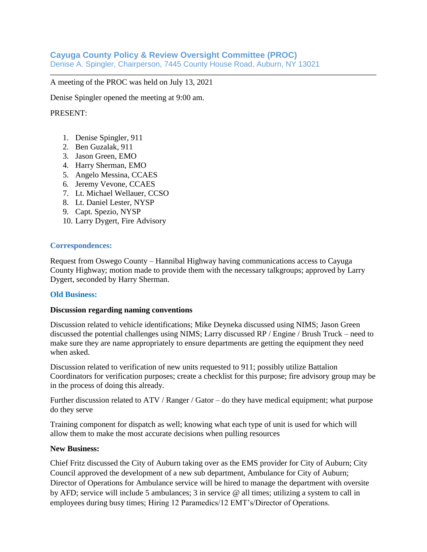# **Cayuga County Policy & Review Oversight Committee (PROC)**

Denise A. Spingler, Chairperson, 7445 County House Road, Auburn, NY 13021

A meeting of the PROC was held on July 13, 2021

Denise Spingler opened the meeting at 9:00 am.

## PRESENT:

- 1. Denise Spingler, 911
- 2. Ben Guzalak, 911
- 3. Jason Green, EMO
- 4. Harry Sherman, EMO
- 5. Angelo Messina, CCAES
- 6. Jeremy Vevone, CCAES
- 7. Lt. Michael Wellauer, CCSO
- 8. Lt. Daniel Lester, NYSP
- 9. Capt. Spezio, NYSP
- 10. Larry Dygert, Fire Advisory

### **Correspondences:**

Request from Oswego County – Hannibal Highway having communications access to Cayuga County Highway; motion made to provide them with the necessary talkgroups; approved by Larry Dygert, seconded by Harry Sherman.

### **Old Business:**

### **Discussion regarding naming conventions**

Discussion related to vehicle identifications; Mike Deyneka discussed using NIMS; Jason Green discussed the potential challenges using NIMS; Larry discussed RP / Engine / Brush Truck – need to make sure they are name appropriately to ensure departments are getting the equipment they need when asked.

Discussion related to verification of new units requested to 911; possibly utilize Battalion Coordinators for verification purposes; create a checklist for this purpose; fire advisory group may be in the process of doing this already.

Further discussion related to ATV / Ranger / Gator – do they have medical equipment; what purpose do they serve

Training component for dispatch as well; knowing what each type of unit is used for which will allow them to make the most accurate decisions when pulling resources

### **New Business:**

Chief Fritz discussed the City of Auburn taking over as the EMS provider for City of Auburn; City Council approved the development of a new sub department, Ambulance for City of Auburn; Director of Operations for Ambulance service will be hired to manage the department with oversite by AFD; service will include 5 ambulances; 3 in service @ all times; utilizing a system to call in employees during busy times; Hiring 12 Paramedics/12 EMT's/Director of Operations.